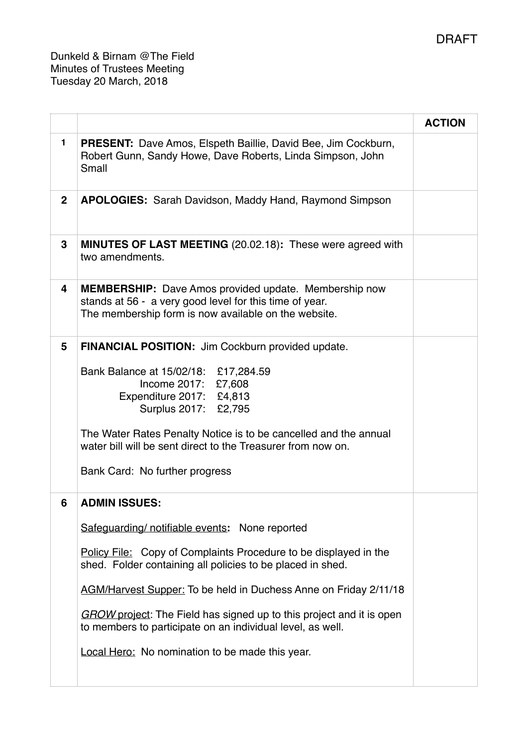Dunkeld & Birnam @The Field Minutes of Trustees Meeting Tuesday 20 March, 2018

|              |                                                                                                                                                                                                                                                                                                                                                                                                                                                                                            | <b>ACTION</b> |
|--------------|--------------------------------------------------------------------------------------------------------------------------------------------------------------------------------------------------------------------------------------------------------------------------------------------------------------------------------------------------------------------------------------------------------------------------------------------------------------------------------------------|---------------|
| 1.           | <b>PRESENT:</b> Dave Amos, Elspeth Baillie, David Bee, Jim Cockburn,<br>Robert Gunn, Sandy Howe, Dave Roberts, Linda Simpson, John<br>Small                                                                                                                                                                                                                                                                                                                                                |               |
| $\mathbf{2}$ | <b>APOLOGIES:</b> Sarah Davidson, Maddy Hand, Raymond Simpson                                                                                                                                                                                                                                                                                                                                                                                                                              |               |
| 3            | <b>MINUTES OF LAST MEETING (20.02.18): These were agreed with</b><br>two amendments.                                                                                                                                                                                                                                                                                                                                                                                                       |               |
| 4            | <b>MEMBERSHIP:</b> Dave Amos provided update. Membership now<br>stands at 56 - a very good level for this time of year.<br>The membership form is now available on the website.                                                                                                                                                                                                                                                                                                            |               |
| 5            | <b>FINANCIAL POSITION:</b> Jim Cockburn provided update.<br>Bank Balance at 15/02/18: £17,284.59<br>Income 2017: £7,608<br>Expenditure 2017: £4,813<br>Surplus 2017: £2,795<br>The Water Rates Penalty Notice is to be cancelled and the annual<br>water bill will be sent direct to the Treasurer from now on.<br>Bank Card: No further progress                                                                                                                                          |               |
| 6            | <b>ADMIN ISSUES:</b><br>Safeguarding/ notifiable events: None reported<br>Policy File: Copy of Complaints Procedure to be displayed in the<br>shed. Folder containing all policies to be placed in shed.<br><b>AGM/Harvest Supper:</b> To be held in Duchess Anne on Friday 2/11/18<br><b>GROW</b> project: The Field has signed up to this project and it is open<br>to members to participate on an individual level, as well.<br><b>Local Hero:</b> No nomination to be made this year. |               |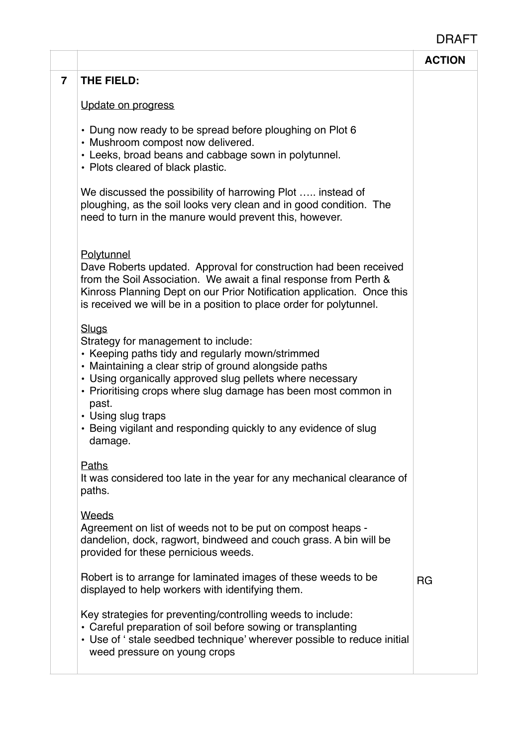## DRAFT

|                         |                                                                                                                                                                                                                                                                                                                                                                                                              | <b>ACTION</b> |
|-------------------------|--------------------------------------------------------------------------------------------------------------------------------------------------------------------------------------------------------------------------------------------------------------------------------------------------------------------------------------------------------------------------------------------------------------|---------------|
| $\overline{\mathbf{r}}$ | THE FIELD:                                                                                                                                                                                                                                                                                                                                                                                                   |               |
|                         | Update on progress                                                                                                                                                                                                                                                                                                                                                                                           |               |
|                         | • Dung now ready to be spread before ploughing on Plot 6<br>• Mushroom compost now delivered.<br>• Leeks, broad beans and cabbage sown in polytunnel.<br>• Plots cleared of black plastic.                                                                                                                                                                                                                   |               |
|                         | We discussed the possibility of harrowing Plot  instead of<br>ploughing, as the soil looks very clean and in good condition. The<br>need to turn in the manure would prevent this, however.                                                                                                                                                                                                                  |               |
|                         | Polytunnel<br>Dave Roberts updated. Approval for construction had been received<br>from the Soil Association. We await a final response from Perth &<br>Kinross Planning Dept on our Prior Notification application. Once this<br>is received we will be in a position to place order for polytunnel.                                                                                                        |               |
|                         | <b>Slugs</b><br>Strategy for management to include:<br>• Keeping paths tidy and regularly mown/strimmed<br>• Maintaining a clear strip of ground alongside paths<br>• Using organically approved slug pellets where necessary<br>• Prioritising crops where slug damage has been most common in<br>past.<br>• Using slug traps<br>• Being vigilant and responding quickly to any evidence of slug<br>damage. |               |
|                         | <b>Paths</b><br>It was considered too late in the year for any mechanical clearance of<br>paths.                                                                                                                                                                                                                                                                                                             |               |
|                         | Weeds<br>Agreement on list of weeds not to be put on compost heaps -<br>dandelion, dock, ragwort, bindweed and couch grass. A bin will be<br>provided for these pernicious weeds.                                                                                                                                                                                                                            |               |
|                         | Robert is to arrange for laminated images of these weeds to be<br>displayed to help workers with identifying them.                                                                                                                                                                                                                                                                                           | <b>RG</b>     |
|                         | Key strategies for preventing/controlling weeds to include:<br>• Careful preparation of soil before sowing or transplanting<br>• Use of ' stale seedbed technique' wherever possible to reduce initial<br>weed pressure on young crops                                                                                                                                                                       |               |